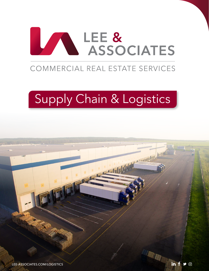

# Supply Chain & Logistics

 $\odot$ 

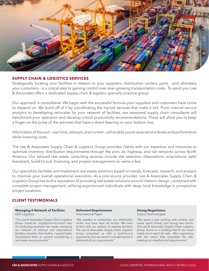

# **SUPPLY CHAIN & LOGISTICS SERVICES**

Strategically locating your facilities in relation to your suppliers, distribution centers, ports - and ultimately your customers - is a critical step to gaining control over ever-growing transportation costs. To assist you, Lee & Associates offers a dedicated supply chain & logistics specialty practice group.

Our approach is consultative. We begin with the successful formula your suppliers and customers have come to depend on. We build off of it by coordinating the myriad services that make it tick. From internal service analytics to developing rationales for your network of facilities, our seasoned supply chain consultants will benchmark your operation and develop critical productivity recommendations. These will allow you to keep a finger on the pulse of the activities that have a direct bearing on your bottom line.

Information of this sort – real-time, relevant, and current – will enable you to raise service levels and performance while lowering costs.

The Lee & Associates Supply Chain & Logistics Group provides clients with our expertise and resources to optimize inventory distribution requirements through the port, air, highway, and rail networks across North America. Our tailored real estate consulting services include site selection, dispositions, acquisitions, sale/ leaseback, build-to-suit, financing, and project management, to name a few.

Our specialists facilitate and implement real estate solutions based on trends, forecasts, research, and analysis to improve your overall operational execution. As a one-source provider, Lee & Associates Supply Chain & Logistics Group has built a reputation of providing real estate solutions around rhetoric design, combined with complete project management, utilizing experienced individuals with deep local knowledge in prospective project locations.

# **CLIENT TESTIMONIALS**

## **Managing A Network of Facilities** KGP Logistics

*"The Lee & Associates Supply Chain Logistics Group hands-on, singlepoint-of-contact way of conducting business has made managing our network of national and international facilities smoother than before. I would highly recommend them to anyone considering a real estate service provider."*

### **Delivered Requirements** International Paper

*"We needed to consolidate our distribution center and have dual rail access. We were limited with our options of existing facilities. The Lee & Associates Supply Chain Logistics Group presented us with a build-to-suit opportunity that we weren't considering but it delivered all our requirements."*

# **Strong Negotiators**

Solaris Technologies

*"We spent a year working with another real estate agent futilely, and timing was crucial. The Lee & Associates Supply Chain Logistics Group found us a building that fit our exact needs but it wasn't for sale. After negotiating with the owner they expedited the sale, meeting our deadline and requirements."*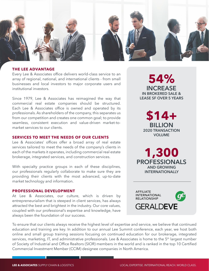

# **THE LEE ADVANTAGE**

Every Lee & Associates office delivers world-class service to an array of regional, national, and international clients - from small businesses and local investors to major corporate users and institutional investors.

Since 1979, Lee & Associates has reimagined the way that commercial real estate companies should be structured. Each Lee & Associates office is owned and operated by its professionals. As shareholders of the company, this separates us from our competition and creates one common goal; to provide seamless, consistent execution and value-driven market-tomarket services to our clients.

# **SERVICES TO MEET THE NEEDS OF OUR CLIENTS**

Lee & Associates' offices offer a broad array of real estate services tailored to meet the needs of the company's clients in each of the markets it operates, including commercial real estate brokerage, integrated services, and construction services.

With specialty practice groups in each of these disciplines, our professionals regularly collaborate to make sure they are providing their clients with the most advanced, up-to-date market technology and information.

# **PROFESSIONAL DEVELOPMENT**

At Lee & Associates, our culture, which is driven by entrepreneurialism that is steeped in client services, has always attracted the best and brightest in the industry. Our core values, coupled with our professional's expertise and knowledge, have always been the foundation of our success.

**54% INCREASE IN BROKERED SALE & LEASE SF OVER 5 YEARS**

**\$14+ BILLION 2020 TRANSACTION VOLUME**

**1,300 PROFESSIONALS AND GROWING INTERNATIONALLY**



To ensure that our clients always receive the highest level of expertise and service, we believe that continued education and training are key. In addition to our annual Lee Summit conference, each year, we host both online and small group training sessions focusing on continued education for our brokerage, integrated services, marketing, IT, and administrative professionals. Lee & Associates is home to the 5<sup>th</sup> largest number of Society of Industrial and Office Realtors (SIOR) members in the world and is ranked in the top 10 Certified Commercial Investment Member (CCIM) designee companies in North America.